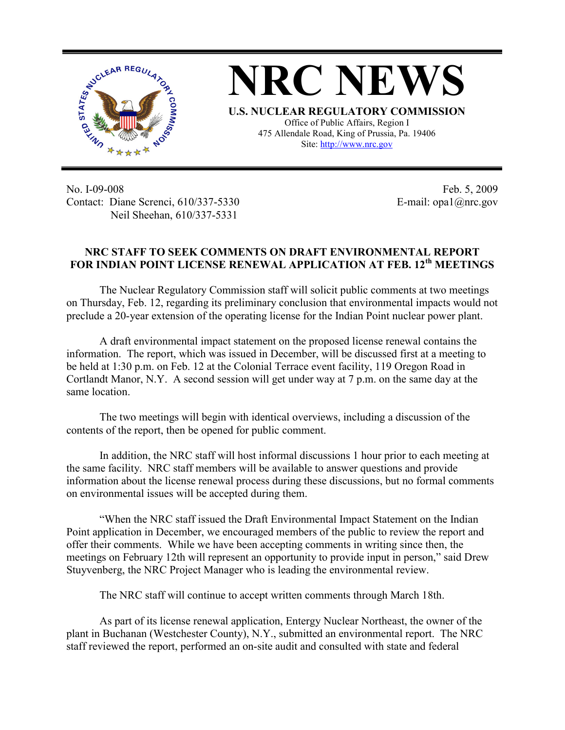

**NRC NEWS U.S. NUCLEAR REGULATORY COMMISSION** Office of Public Affairs, Region I 475 Allendale Road, King of Prussia, Pa. 19406

Site: http://www.nrc.gov

No. I-09-008 Contact: Diane Screnci, 610/337-5330 Neil Sheehan, 610/337-5331

Feb. 5, 2009 E-mail: opa1@nrc.gov

## **NRC STAFF TO SEEK COMMENTS ON DRAFT ENVIRONMENTAL REPORT FOR INDIAN POINT LICENSE RENEWAL APPLICATION AT FEB. 12th MEETINGS**

The Nuclear Regulatory Commission staff will solicit public comments at two meetings on Thursday, Feb. 12, regarding its preliminary conclusion that environmental impacts would not preclude a 20-year extension of the operating license for the Indian Point nuclear power plant.

A draft environmental impact statement on the proposed license renewal contains the information. The report, which was issued in December, will be discussed first at a meeting to be held at 1:30 p.m. on Feb. 12 at the Colonial Terrace event facility, 119 Oregon Road in Cortlandt Manor, N.Y. A second session will get under way at 7 p.m. on the same day at the same location.

The two meetings will begin with identical overviews, including a discussion of the contents of the report, then be opened for public comment.

In addition, the NRC staff will host informal discussions 1 hour prior to each meeting at the same facility. NRC staff members will be available to answer questions and provide information about the license renewal process during these discussions, but no formal comments on environmental issues will be accepted during them.

"When the NRC staff issued the Draft Environmental Impact Statement on the Indian Point application in December, we encouraged members of the public to review the report and offer their comments. While we have been accepting comments in writing since then, the meetings on February 12th will represent an opportunity to provide input in person," said Drew Stuyvenberg, the NRC Project Manager who is leading the environmental review.

The NRC staff will continue to accept written comments through March 18th.

As part of its license renewal application, Entergy Nuclear Northeast, the owner of the plant in Buchanan (Westchester County), N.Y., submitted an environmental report. The NRC staff reviewed the report, performed an on-site audit and consulted with state and federal